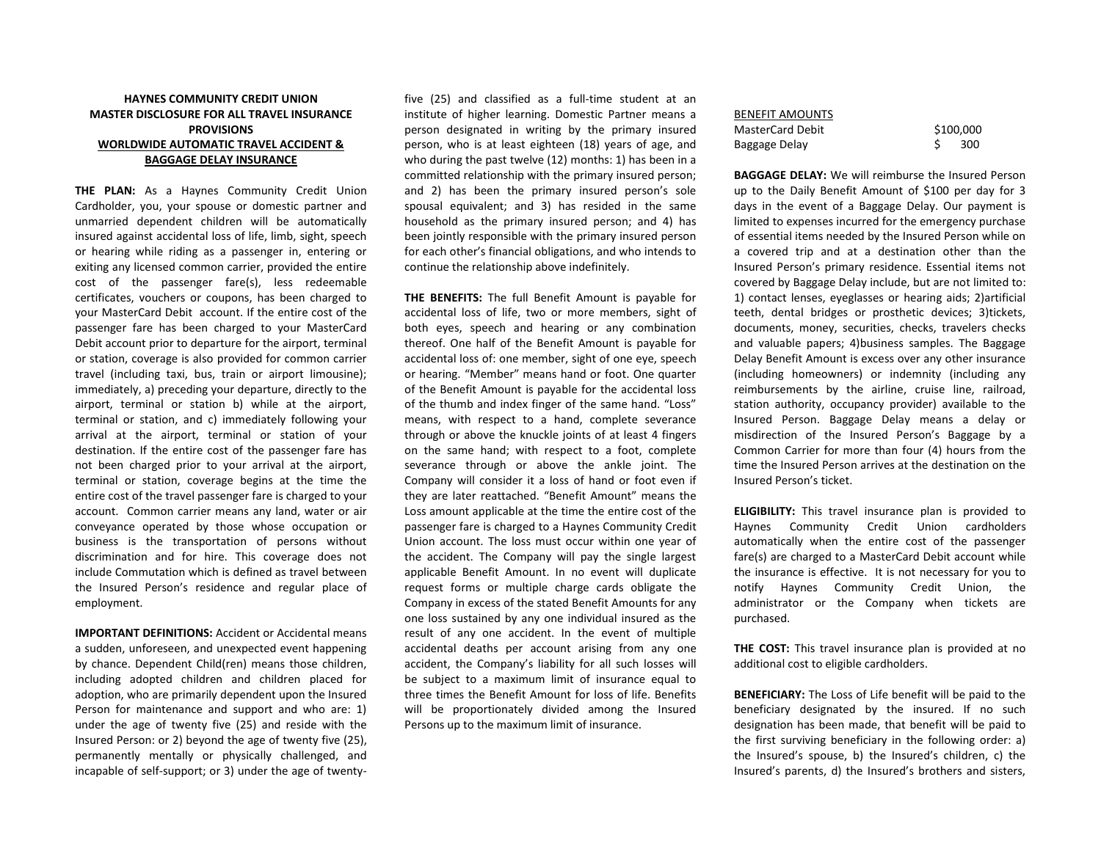## **HAYNES COMMUNITY CREDIT UNION MASTER DISCLOSURE FOR ALL TRAVEL INSURANCE PROVISIONS WORLDWIDE AUTOMATIC TRAVEL ACCIDENT & BAGGAGE DELAY INSURANCE**

**THE PLAN:** As a Haynes Community Credit Union Cardholder, you, your spouse or domestic partner and unmarried dependent children will be automatically insured against accidental loss of life, limb, sight, speech or hearing while riding as a passenger in, entering or exiting any licensed common carrier, provided the entire cost of the passenger fare(s), less redeemable certificates, vouchers or coupons, has been charged to your MasterCard Debit account. If the entire cost of the passenger fare has been charged to your MasterCard Debit account prior to departure for the airport, terminal or station, coverage is also provided for common carrier travel (including taxi, bus, train or airport limousine); immediately, a) preceding your departure, directly to the airport, terminal or station b) while at the airport, terminal or station, and c) immediately following your arrival at the airport, terminal or station of your destination. If the entire cost of the passenger fare has not been charged prior to your arrival at the airport, terminal or station, coverage begins at the time the entire cost of the travel passenger fare is charged to your account. Common carrier means any land, water or air conveyance operated by those whose occupation or business is the transportation of persons without discrimination and for hire. This coverage does not include Commutation which is defined as travel between the Insured Person's residence and regular place of employment.

**IMPORTANT DEFINITIONS: Accident or Accidental means** a sudden, unforeseen, and unexpected event happening by chance. Dependent Child(ren) means those children, including adopted children and children placed for adoption, who are primarily dependent upon the Insured Person for maintenance and support and who are: 1) under the age of twenty five (25) and reside with the Insured Person: or 2) beyond the age of twenty five (25), permanently mentally or physically challenged, and incapable of self-support; or 3) under the age of twentyfive (25) and classified as a full-time student at an institute of higher learning. Domestic Partner means a person designated in writing by the primary insured person, who is at least eighteen (18) years of age, and who during the past twelve (12) months: 1) has been in a committed relationship with the primary insured person; and 2) has been the primary insured person's sole spousal equivalent; and 3) has resided in the same household as the primary insured person; and 4) has been jointly responsible with the primary insured person for each other's financial obligations, and who intends to continue the relationship above indefinitely.

**THE BENEFITS:** The full Benefit Amount is payable for accidental loss of life, two or more members, sight of both eyes, speech and hearing or any combination thereof. One half of the Benefit Amount is payable for accidental loss of: one member, sight of one eye, speech or hearing. "Member" means hand or foot. One quarter of the Benefit Amount is payable for the accidental loss of the thumb and index finger of the same hand. "Loss" means, with respect to a hand, complete severance through or above the knuckle joints of at least 4 fingers on the same hand; with respect to a foot, complete severance through or above the ankle joint. The Company will consider it a loss of hand or foot even if they are later reattached. "Benefit Amount" means the Loss amount applicable at the time the entire cost of the passenger fare is charged to a Haynes Community Credit Union account. The loss must occur within one year of the accident. The Company will pay the single largest applicable Benefit Amount. In no event will duplicate request forms or multiple charge cards obligate the Company in excess of the stated Benefit Amounts for any one loss sustained by any one individual insured as the result of any one accident. In the event of multiple accidental deaths per account arising from any one accident, the Company's liability for all such losses will be subject to a maximum limit of insurance equal to three times the Benefit Amount for loss of life. Benefits will be proportionately divided among the Insured Persons up to the maximum limit of insurance.

## BENEFIT AMOUNTS MasterCard Debit \$100,000 Baggage Delay 5 300

**BAGGAGE DELAY:** We will reimburse the Insured Person up to the Daily Benefit Amount of \$100 per day for 3 days in the event of a Baggage Delay. Our payment is limited to expenses incurred for the emergency purchase of essential items needed by the Insured Person while on a covered trip and at a destination other than the Insured Person's primary residence. Essential items not covered by Baggage Delay include, but are not limited to: 1) contact lenses, eyeglasses or hearing aids; 2)artificial teeth, dental bridges or prosthetic devices; 3)tickets, documents, money, securities, checks, travelers checks and valuable papers; 4)business samples. The Baggage Delay Benefit Amount is excess over any other insurance (including homeowners) or indemnity (including any reimbursements by the airline, cruise line, railroad, station authority, occupancy provider) available to the Insured Person. Baggage Delay means a delay or misdirection of the Insured Person's Baggage by a Common Carrier for more than four (4) hours from the time the Insured Person arrives at the destination on the Insured Person's ticket.

**ELIGIBILITY:** This travel insurance plan is provided to Haynes Community Credit Union cardholders automatically when the entire cost of the passenger fare(s) are charged to a MasterCard Debit account while the insurance is effective. It is not necessary for you to notify Haynes Community Credit Union, the administrator or the Company when tickets are purchased.

**THE COST:** This travel insurance plan is provided at no additional cost to eligible cardholders.

**BENEFICIARY:** The Loss of Life benefit will be paid to the beneficiary designated by the insured. If no such designation has been made, that benefit will be paid to the first surviving beneficiary in the following order: a) the Insured's spouse, b) the Insured's children, c) the Insured's parents, d) the Insured's brothers and sisters,